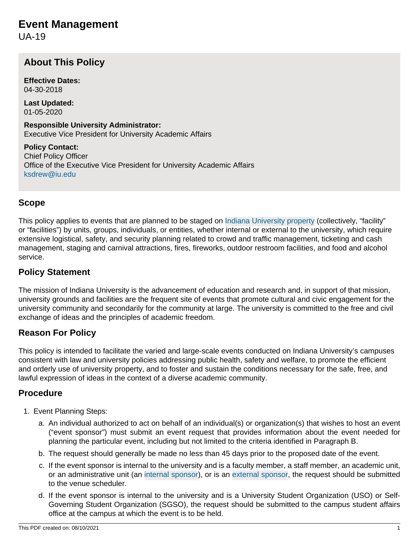UA-19

# **About This Policy**

**Effective Dates:** 04-30-2018

**Last Updated:** 01-05-2020

**Responsible University Administrator:** Executive Vice President for University Academic Affairs

**Policy Contact:** Chief Policy Officer Office of the Executive Vice President for University Academic Affairs [ksdrew@iu.edu](mailto:ksdrew@iu.edu)

### **Scope**

This policy applies to events that are planned to be staged on [Indiana University property](#page-3-0) (collectively, "facility" or "facilities") by units, groups, individuals, or entities, whether internal or external to the university, which require extensive logistical, safety, and security planning related to crowd and traffic management, ticketing and cash management, staging and carnival attractions, fires, fireworks, outdoor restroom facilities, and food and alcohol service.

#### **Policy Statement**

The mission of Indiana University is the advancement of education and research and, in support of that mission, university grounds and facilities are the frequent site of events that promote cultural and civic engagement for the university community and secondarily for the community at large. The university is committed to the free and civil exchange of ideas and the principles of academic freedom.

#### **Reason For Policy**

This policy is intended to facilitate the varied and large-scale events conducted on Indiana University's campuses consistent with law and university policies addressing public health, safety and welfare, to promote the efficient and orderly use of university property, and to foster and sustain the conditions necessary for the safe, free, and lawful expression of ideas in the context of a diverse academic community.

#### **Procedure**

- 1. Event Planning Steps:
	- a. An individual authorized to act on behalf of an individual(s) or organization(s) that wishes to host an event ("event sponsor") must submit an event request that provides information about the event needed for planning the particular event, including but not limited to the criteria identified in Paragraph B.
	- b. The request should generally be made no less than 45 days prior to the proposed date of the event.
	- c. If the event sponsor is internal to the university and is a faculty member, a staff member, an academic unit, or an administrative unit (an [internal sponsor\)](#page-3-1), or is an [external sponsor](#page-3-2), the request should be submitted to the venue scheduler.
	- d. If the event sponsor is internal to the university and is a University Student Organization (USO) or Self-Governing Student Organization (SGSO), the request should be submitted to the campus student affairs office at the campus at which the event is to be held.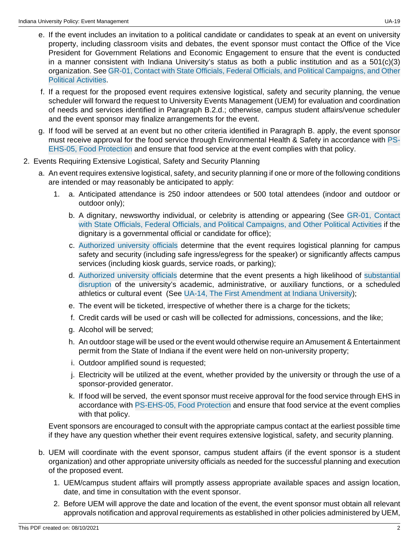- e. If the event includes an invitation to a political candidate or candidates to speak at an event on university property, including classroom visits and debates, the event sponsor must contact the Office of the Vice President for Government Relations and Economic Engagement to ensure that the event is conducted in a manner consistent with Indiana University's status as both a public institution and as a  $501(c)(3)$ organization. See [GR-01, Contact with State Officials, Federal Officials, and Political Campaigns, and Other](/policies/gr-01-contact-government-officials/index.html) [Political Activities](/policies/gr-01-contact-government-officials/index.html).
- f. If a request for the proposed event requires extensive logistical, safety and security planning, the venue scheduler will forward the request to University Events Management (UEM) for evaluation and coordination of needs and services identified in Paragraph B.2.d.; otherwise, campus student affairs/venue scheduler and the event sponsor may finalize arrangements for the event.
- g. If food will be served at an event but no other criteria identified in Paragraph B. apply, the event sponsor must receive approval for the food service through Environmental Health & Safety in accordance with [PS-](/policies/ps-ehs-05-food-protection/index.html)[EHS-05, Food Protection](/policies/ps-ehs-05-food-protection/index.html) and ensure that food service at the event complies with that policy.
- 2. Events Requiring Extensive Logistical, Safety and Security Planning
	- a. An event requires extensive logistical, safety, and security planning if one or more of the following conditions are intended or may reasonably be anticipated to apply:
		- 1. a. Anticipated attendance is 250 indoor attendees or 500 total attendees (indoor and outdoor or outdoor only);
			- b. A dignitary, newsworthy individual, or celebrity is attending or appearing (See [GR-01, Contact](/policies/gr-01-contact-government-officials/index.html) [with State Officials, Federal Officials, and Political Campaigns, and Other Political Activities](/policies/gr-01-contact-government-officials/index.html) if the dignitary is a governmental official or candidate for office);
			- c. [Authorized university officials](#page-3-3) determine that the event requires logistical planning for campus safety and security (including safe ingress/egress for the speaker) or significantly affects campus services (including kiosk guards, service roads, or parking);
			- d. [Authorized university officials](#page-3-3) determine that the event presents a high likelihood of [substantial](#page-3-4) [disruption](#page-3-4) of the university's academic, administrative, or auxiliary functions, or a scheduled athletics or cultural event (See [UA-14, The First Amendment at Indiana University\)](/policies/ua-14-first-amendment-indiana-university/index.html);
			- e. The event will be ticketed, irrespective of whether there is a charge for the tickets;
			- f. Credit cards will be used or cash will be collected for admissions, concessions, and the like;
			- g. Alcohol will be served;
			- h. An outdoor stage will be used or the event would otherwise require an Amusement & Entertainment permit from the State of Indiana if the event were held on non-university property;
			- i. Outdoor amplified sound is requested;
			- j. Electricity will be utilized at the event, whether provided by the university or through the use of a sponsor-provided generator.
			- k. If food will be served, the event sponsor must receive approval for the food service through EHS in accordance with [PS-EHS-05, Food Protection](/policies/ps-ehs-05-food-protection/index.html) and ensure that food service at the event complies with that policy.

Event sponsors are encouraged to consult with the appropriate campus contact at the earliest possible time if they have any question whether their event requires extensive logistical, safety, and security planning.

- b. UEM will coordinate with the event sponsor, campus student affairs (if the event sponsor is a student organization) and other appropriate university officials as needed for the successful planning and execution of the proposed event.
	- 1. UEM/campus student affairs will promptly assess appropriate available spaces and assign location, date, and time in consultation with the event sponsor.
	- 2. Before UEM will approve the date and location of the event, the event sponsor must obtain all relevant approvals notification and approval requirements as established in other policies administered by UEM,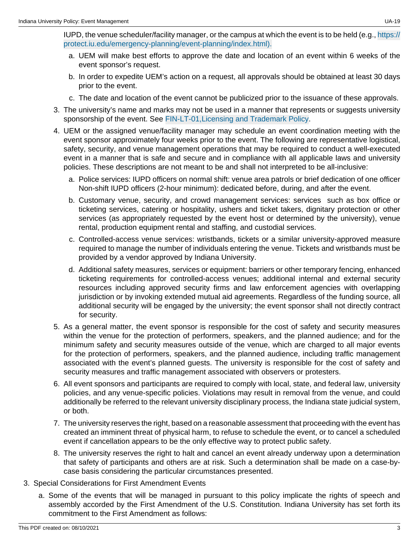IUPD, the venue scheduler/facility manager, or the campus at which the event is to be held (e.g., [https://](https://protect.iu.edu/emergency-planning/event-planning/index.html) [protect.iu.edu/emergency-planning/event-planning/index.html\).](https://protect.iu.edu/emergency-planning/event-planning/index.html)

- a. UEM will make best efforts to approve the date and location of an event within 6 weeks of the event sponsor's request.
- b. In order to expedite UEM's action on a request, all approvals should be obtained at least 30 days prior to the event.
- c. The date and location of the event cannot be publicized prior to the issuance of these approvals.
- 3. The university's name and marks may not be used in a manner that represents or suggests university sponsorship of the event. See [FIN-LT-01,Licensing and Trademark Policy](/policies/fin-lt-licensing-trademark/index.html).
- 4. UEM or the assigned venue/facility manager may schedule an event coordination meeting with the event sponsor approximately four weeks prior to the event. The following are representative logistical, safety, security, and venue management operations that may be required to conduct a well-executed event in a manner that is safe and secure and in compliance with all applicable laws and university policies. These descriptions are not meant to be and shall not interpreted to be all-inclusive:
	- a. Police services: IUPD officers on normal shift: venue area patrols or brief dedication of one officer Non-shift IUPD officers (2-hour minimum): dedicated before, during, and after the event.
	- b. Customary venue, security, and crowd management services: services such as box office or ticketing services, catering or hospitality, ushers and ticket takers, dignitary protection or other services (as appropriately requested by the event host or determined by the university), venue rental, production equipment rental and staffing, and custodial services.
	- c. Controlled-access venue services: wristbands, tickets or a similar university-approved measure required to manage the number of individuals entering the venue. Tickets and wristbands must be provided by a vendor approved by Indiana University.
	- d. Additional safety measures, services or equipment: barriers or other temporary fencing, enhanced ticketing requirements for controlled-access venues; additional internal and external security resources including approved security firms and law enforcement agencies with overlapping jurisdiction or by invoking extended mutual aid agreements. Regardless of the funding source, all additional security will be engaged by the university; the event sponsor shall not directly contract for security.
- 5. As a general matter, the event sponsor is responsible for the cost of safety and security measures within the venue for the protection of performers, speakers, and the planned audience; and for the minimum safety and security measures outside of the venue, which are charged to all major events for the protection of performers, speakers, and the planned audience, including traffic management associated with the event's planned guests. The university is responsible for the cost of safety and security measures and traffic management associated with observers or protesters.
- 6. All event sponsors and participants are required to comply with local, state, and federal law, university policies, and any venue-specific policies. Violations may result in removal from the venue, and could additionally be referred to the relevant university disciplinary process, the Indiana state judicial system, or both.
- 7. The university reserves the right, based on a reasonable assessment that proceeding with the event has created an imminent threat of physical harm, to refuse to schedule the event, or to cancel a scheduled event if cancellation appears to be the only effective way to protect public safety.
- 8. The university reserves the right to halt and cancel an event already underway upon a determination that safety of participants and others are at risk. Such a determination shall be made on a case-bycase basis considering the particular circumstances presented.
- 3. Special Considerations for First Amendment Events
	- a. Some of the events that will be managed in pursuant to this policy implicate the rights of speech and assembly accorded by the First Amendment of the U.S. Constitution. Indiana University has set forth its commitment to the First Amendment as follows: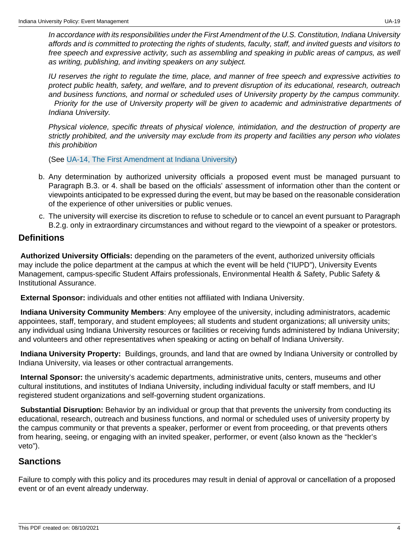In accordance with its responsibilities under the First Amendment of the U.S. Constitution, Indiana University affords and is committed to protecting the rights of students, faculty, staff, and invited guests and visitors to free speech and expressive activity, such as assembling and speaking in public areas of campus, as well as writing, publishing, and inviting speakers on any subject.

IU reserves the right to regulate the time, place, and manner of free speech and expressive activities to protect public health, safety, and welfare, and to prevent disruption of its educational, research, outreach and business functions, and normal or scheduled uses of University property by the campus community. Priority for the use of University property will be given to academic and administrative departments of Indiana University.

Physical violence, specific threats of physical violence, intimidation, and the destruction of property are strictly prohibited, and the university may exclude from its property and facilities any person who violates this prohibition

(See [UA-14, The First Amendment at Indiana University](/policies/ua-14-first-amendment-indiana-university/index.html))

- b. Any determination by authorized university officials a proposed event must be managed pursuant to Paragraph B.3. or 4. shall be based on the officials' assessment of information other than the content or viewpoints anticipated to be expressed during the event, but may be based on the reasonable consideration of the experience of other universities or public venues.
- c. The university will exercise its discretion to refuse to schedule or to cancel an event pursuant to Paragraph B.2.g. only in extraordinary circumstances and without regard to the viewpoint of a speaker or protestors.

#### **Definitions**

<span id="page-3-3"></span>**Authorized University Officials:** depending on the parameters of the event, authorized university officials may include the police department at the campus at which the event will be held ("IUPD"), University Events Management, campus-specific Student Affairs professionals, Environmental Health & Safety, Public Safety & Institutional Assurance.

<span id="page-3-2"></span>**External Sponsor:** individuals and other entities not affiliated with Indiana University.

<span id="page-3-5"></span>**Indiana University Community Members**: Any employee of the university, including administrators, academic appointees, staff, temporary, and student employees; all students and student organizations; all university units; any individual using Indiana University resources or facilities or receiving funds administered by Indiana University; and volunteers and other representatives when speaking or acting on behalf of Indiana University.

<span id="page-3-0"></span>**Indiana University Property:** Buildings, grounds, and land that are owned by Indiana University or controlled by Indiana University, via leases or other contractual arrangements.

<span id="page-3-1"></span>**Internal Sponsor:** the university's academic departments, administrative units, centers, museums and other cultural institutions, and institutes of Indiana University, including individual faculty or staff members, and IU registered student organizations and self-governing student organizations.

<span id="page-3-4"></span>**Substantial Disruption:** Behavior by an individual or group that that prevents the university from conducting its educational, research, outreach and business functions, and normal or scheduled uses of university property by the campus community or that prevents a speaker, performer or event from proceeding, or that prevents others from hearing, seeing, or engaging with an invited speaker, performer, or event (also known as the "heckler's veto").

## **Sanctions**

Failure to comply with this policy and its procedures may result in denial of approval or cancellation of a proposed event or of an event already underway.